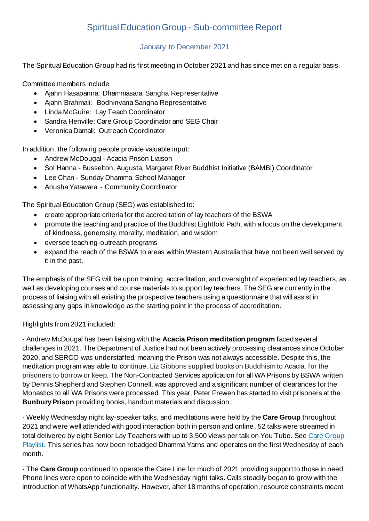## Spiritual Education Group - Sub-committee Report

## January to December 2021

The Spiritual Education Group had its first meeting in October 2021 and has since met on a regular basis.

Committee members include

- Ajahn Hasapanna: Dhammasara Sangha Representative
- Ajahn Brahmali: Bodhinyana Sangha Representative
- Linda McGuire: Lay Teach Coordinator
- Sandra Henville: Care Group Coordinator and SEG Chair
- Veronica Damali: Outreach Coordinator

In addition, the following people provide valuable input:

- Andrew McDougal Acacia Prison Liaison
- Sol Hanna Busselton, Augusta, Margaret River Buddhist Initiative (BAMBI) Coordinator
- Lee Chan Sunday Dhamma School Manager
- Anusha Yatawara Community Coordinator

The Spiritual Education Group (SEG) was established to:

- create appropriate criteria for the accreditation of lay teachers of the BSWA
- promote the teaching and practice of the Buddhist Eightfold Path, with a focus on the development of kindness, generosity, morality, meditation, and wisdom
- oversee teaching-outreach programs
- expand the reach of the BSWA to areas within Western Australia that have not been well served by it in the past.

The emphasis of the SEG will be upon training, accreditation, and oversight of experienced lay teachers, as well as developing courses and course materials to support lay teachers. The SEG are currently in the process of liaising with all existing the prospective teachers using a questionnaire that will assist in assessing any gaps in knowledge as the starting point in the process of accreditation.

Highlights from 2021 included:

- Andrew McDougal has been liaising with the **Acacia Prison meditation program** faced several challenges in 2021. The Department of Justice had not been actively processing clearances since October 2020, and SERCO was understaffed, meaning the Prison was not always accessible. Despite this, the meditation program was able to continue. Liz Gibbons supplied books on Buddhism to Acacia, for the prisoners to borrow or keep. The Non-Contracted Services application for all WA Prisons by BSWA written by Dennis Shepherd and Stephen Connell, was approved and a significant number of clearances for the Monastics to all WA Prisons were processed. This year, Peter Frewen has started to visit prisoners at the **Bunbury Prison** providing books, handout materials and discussion.

- Weekly Wednesday night lay-speaker talks, and meditations were held by the **Care Group** throughout 2021 and were well attended with good interaction both in person and online. 52 talks were streamed in total delivered by eight Senior Lay Teachers with up to 3,500 views per talk on You Tube. See Care Group Playlist. [This series has now been rebadged Dhamma Yarns and operates on the first Wednesday of each](https://www.youtube.com/playlist?list=PLf9HOK_Rf1M6WjjQd075SdCvO8EBlab3w)  [month.](https://www.youtube.com/playlist?list=PLf9HOK_Rf1M6WjjQd075SdCvO8EBlab3w) 

- The **Care Group** continued to operate the Care Line for much of 2021 providing support to those in need. Phone lines were open to coincide with the Wednesday night talks. Calls steadily began to grow with the introduction of WhatsApp functionality. However, after 18 months of operation, resource constraints meant